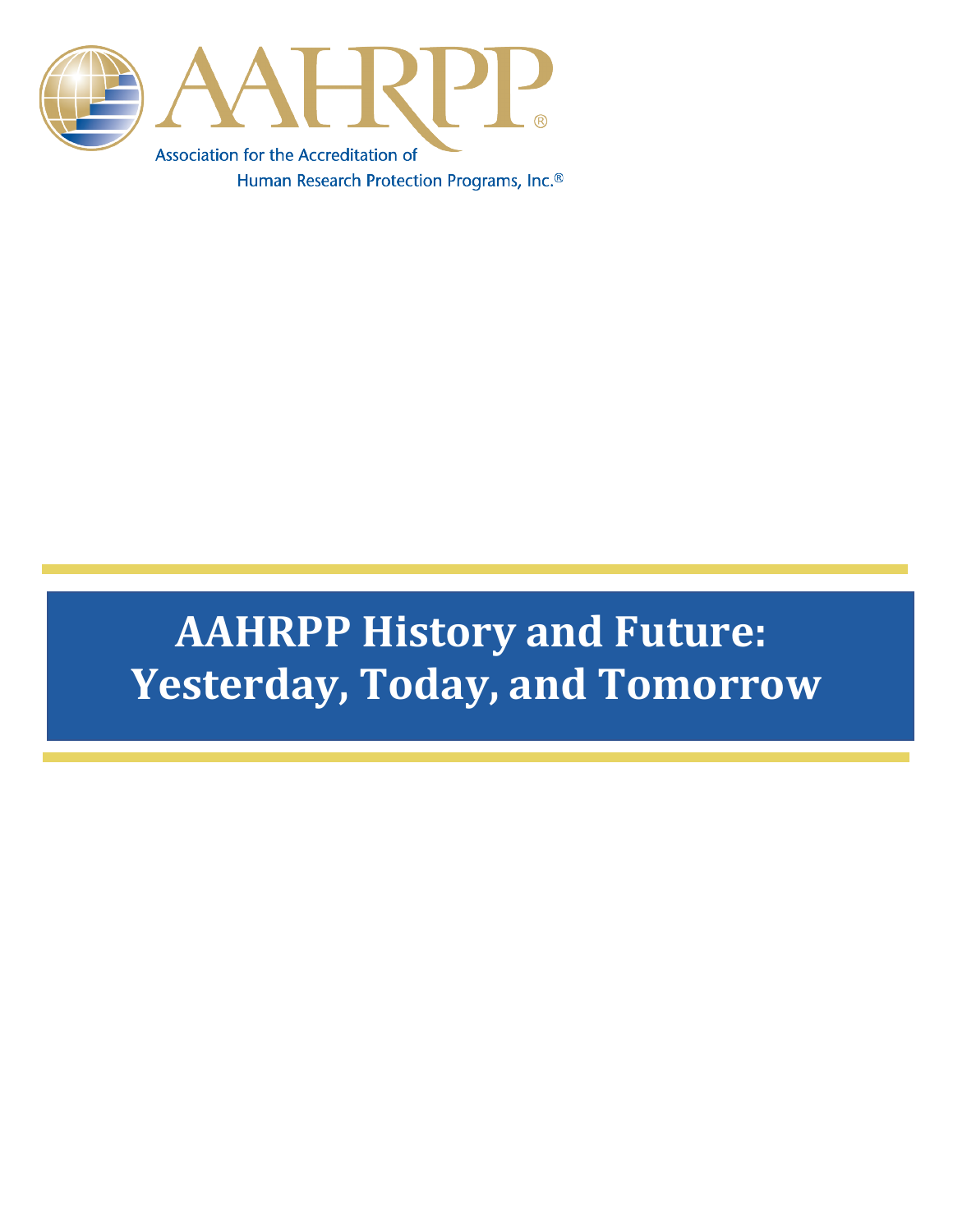

# **AAHRPP History and Future: Yesterday, Today, and Tomorrow**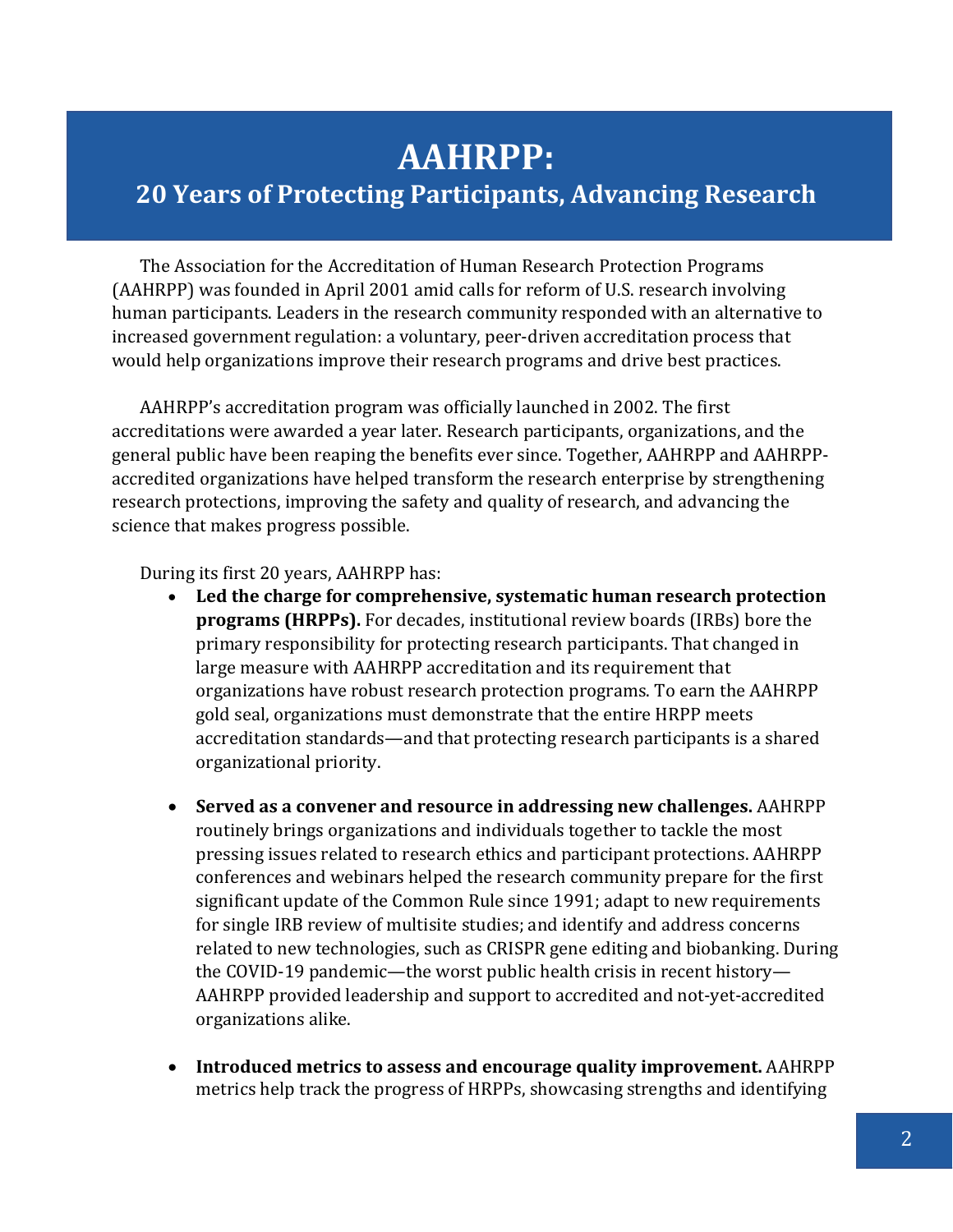## **AAHRPP:**

### **20 Years of Protecting Participants, Advancing Research**

The Association for the Accreditation of Human Research Protection Programs (AAHRPP) was founded in April 2001 amid calls for reform of U.S. research involving human participants. Leaders in the research community responded with an alternative to increased government regulation: a voluntary, peer-driven accreditation process that would help organizations improve their research programs and drive best practices.

AAHRPP's accreditation program was officially launched in 2002. The first accreditations were awarded a year later. Research participants, organizations, and the general public have been reaping the benefits ever since. Together, AAHRPP and AAHRPPaccredited organizations have helped transform the research enterprise by strengthening research protections, improving the safety and quality of research, and advancing the science that makes progress possible.

During its first 20 years, AAHRPP has:

- **Led the charge for comprehensive, systematic human research protection programs (HRPPs).** For decades, institutional review boards (IRBs) bore the primary responsibility for protecting research participants. That changed in large measure with AAHRPP accreditation and its requirement that organizations have robust research protection programs. To earn the AAHRPP gold seal, organizations must demonstrate that the entire HRPP meets accreditation standards—and that protecting research participants is a shared organizational priority.
- **Served as a convener and resource in addressing new challenges.** AAHRPP routinely brings organizations and individuals together to tackle the most pressing issues related to research ethics and participant protections. AAHRPP conferences and webinars helped the research community prepare for the first significant update of the Common Rule since 1991; adapt to new requirements for single IRB review of multisite studies; and identify and address concerns related to new technologies, such as CRISPR gene editing and biobanking. During the COVID-19 pandemic—the worst public health crisis in recent history— AAHRPP provided leadership and support to accredited and not-yet-accredited organizations alike.
- **Introduced metrics to assess and encourage quality improvement.** AAHRPP metrics help track the progress of HRPPs, showcasing strengths and identifying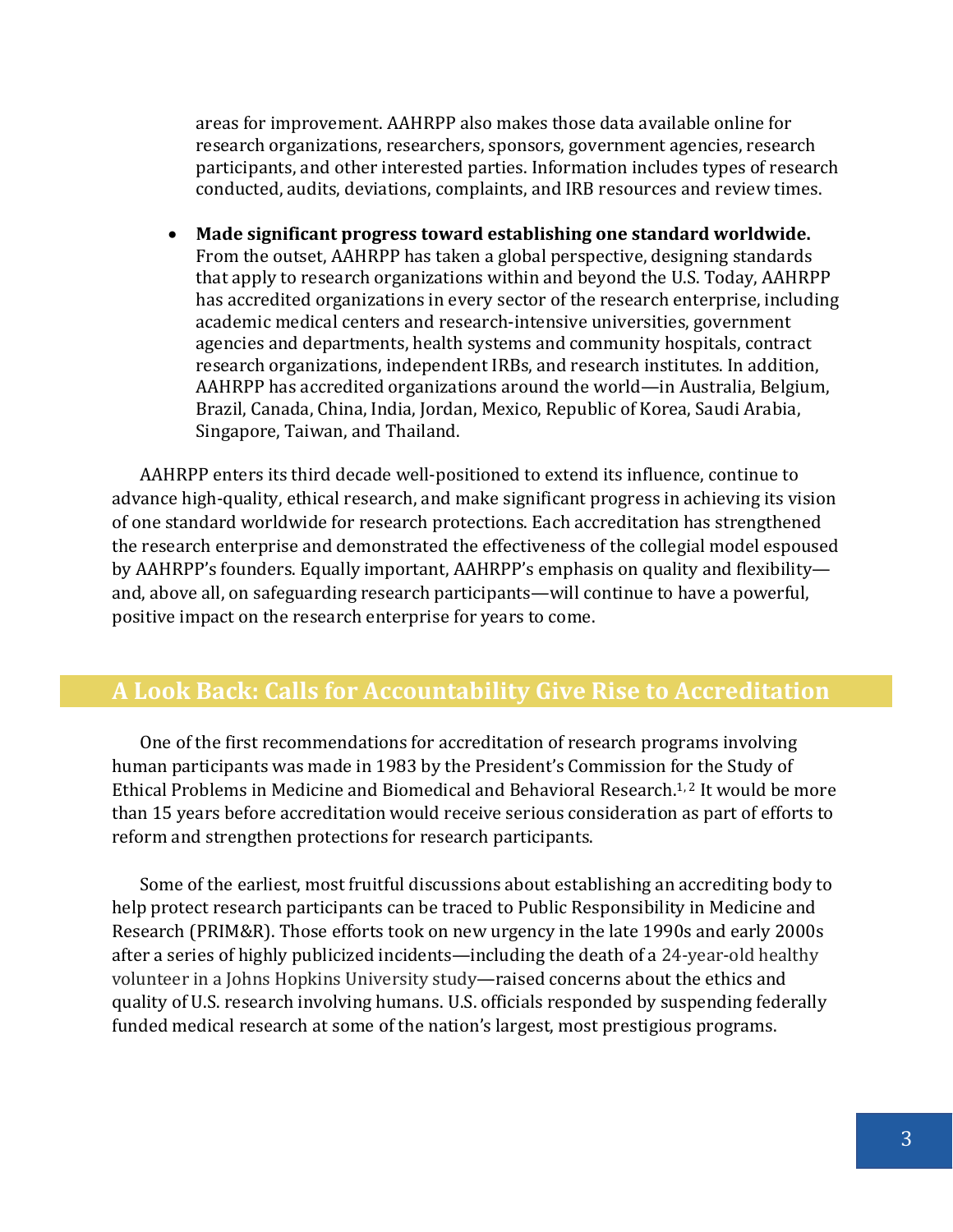areas for improvement. AAHRPP also makes those data available online for research organizations, researchers, sponsors, government agencies, research participants, and other interested parties. Information includes types of research conducted, audits, deviations, complaints, and IRB resources and review times.

• **Made significant progress toward establishing one standard worldwide.** From the outset, AAHRPP has taken a global perspective, designing standards that apply to research organizations within and beyond the U.S. Today, AAHRPP has accredited organizations in every sector of the research enterprise, including academic medical centers and research-intensive universities, government agencies and departments, health systems and community hospitals, contract research organizations, independent IRBs, and research institutes. In addition, AAHRPP has accredited organizations around the world—in Australia, Belgium, Brazil, Canada, China, India, Jordan, Mexico, Republic of Korea, Saudi Arabia, Singapore, Taiwan, and Thailand.

AAHRPP enters its third decade well-positioned to extend its influence, continue to advance high-quality, ethical research, and make significant progress in achieving its vision of one standard worldwide for research protections. Each accreditation has strengthened the research enterprise and demonstrated the effectiveness of the collegial model espoused by AAHRPP's founders. Equally important, AAHRPP's emphasis on quality and flexibility and, above all, on safeguarding research participants—will continue to have a powerful, positive impact on the research enterprise for years to come.

#### **A Look Back: Calls for Accountability Give Rise to Accreditation**

One of the first recommendations for accreditation of research programs involving human participants was made in 1983 by the President's Commission for the Study of Ethical Problems in Medicine and Biomedical and Behavioral Research.<sup>1, 2</sup> It would be more than 15 years before accreditation would receive serious consideration as part of efforts to reform and strengthen protections for research participants.

Some of the earliest, most fruitful discussions about establishing an accrediting body to help protect research participants can be traced to Public Responsibility in Medicine and Research (PRIM&R). Those efforts took on new urgency in the late 1990s and early 2000s after a series of highly publicized incidents—including the death of a 24-year-old healthy volunteer in a Johns Hopkins University study—raised concerns about the ethics and quality of U.S. research involving humans. U.S. officials responded by suspending federally funded medical research at some of the nation's largest, most prestigious programs.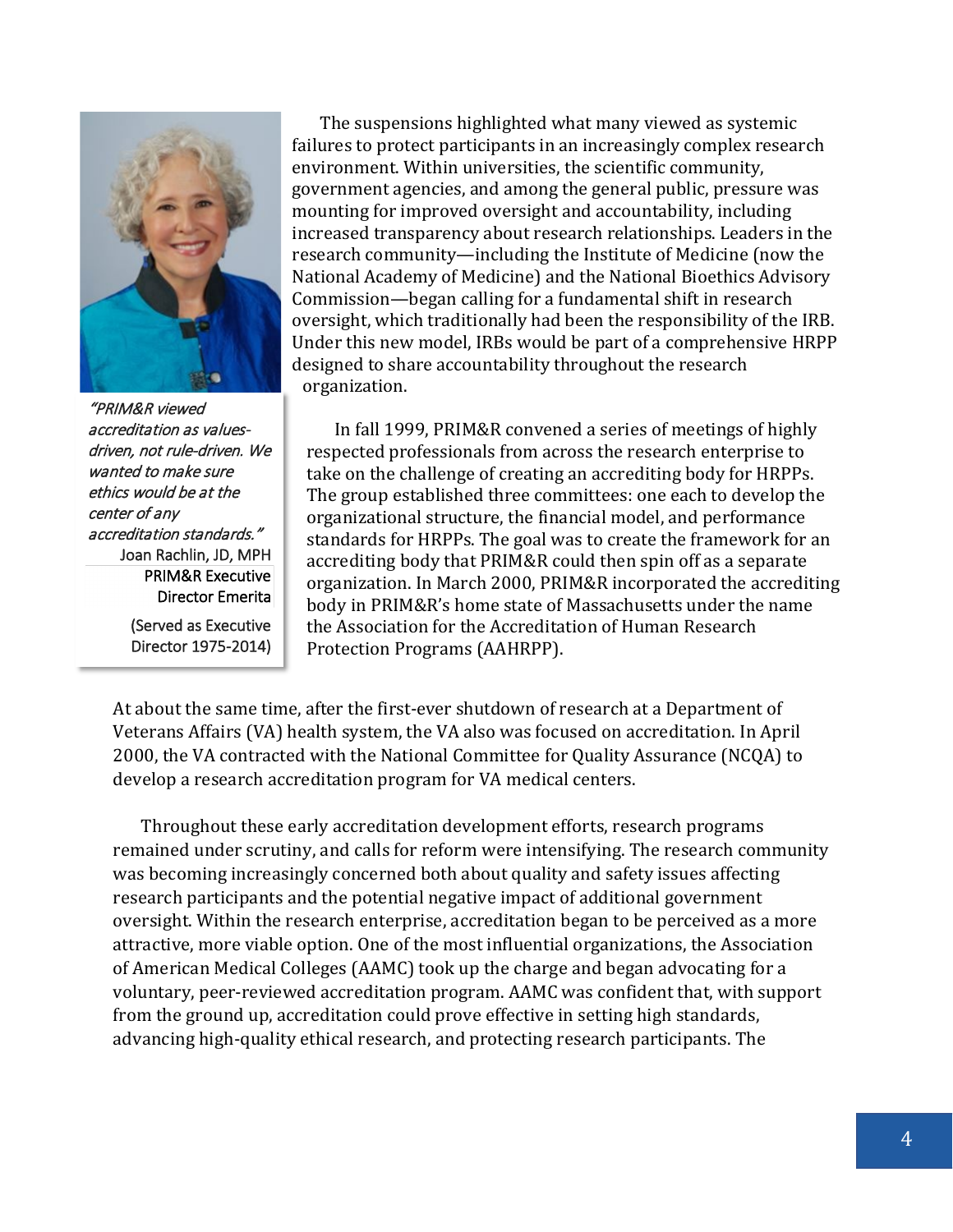

"PRIM&R viewed accreditation as valuesdriven, not rule-driven. We wanted to make sure ethics would be at the center of any accreditation standards." Joan Rachlin, JD, MPH PRIM&R Executive Director Emerita

(Served as Executive Director 1975-2014)

The suspensions highlighted what many viewed as systemic failures to protect participants in an increasingly complex research environment. Within universities, the scientific community, government agencies, and among the general public, pressure was mounting for improved oversight and accountability, including increased transparency about research relationships. Leaders in the research community—including the Institute of Medicine (now the National Academy of Medicine) and the National Bioethics Advisory Commission—began calling for a fundamental shift in research oversight, which traditionally had been the responsibility of the IRB. Under this new model, IRBs would be part of a comprehensive HRPP designed to share accountability throughout the research organization.

In fall 1999, PRIM&R convened a series of meetings of highly respected professionals from across the research enterprise to take on the challenge of creating an accrediting body for HRPPs. The group established three committees: one each to develop the organizational structure, the financial model, and performance standards for HRPPs. The goal was to create the framework for an accrediting body that PRIM&R could then spin off as a separate organization. In March 2000, PRIM&R incorporated the accrediting body in PRIM&R's home state of Massachusetts under the name the Association for the Accreditation of Human Research Protection Programs (AAHRPP).

At about the same time, after the first-ever shutdown of research at a Department of Veterans Affairs (VA) health system, the VA also was focused on accreditation. In April 2000, the VA contracted with the National Committee for Quality Assurance (NCQA) to develop a research accreditation program for VA medical centers.

Throughout these early accreditation development efforts, research programs remained under scrutiny, and calls for reform were intensifying. The research community was becoming increasingly concerned both about quality and safety issues affecting research participants and the potential negative impact of additional government oversight. Within the research enterprise, accreditation began to be perceived as a more attractive, more viable option. One of the most influential organizations, the Association of American Medical Colleges (AAMC) took up the charge and began advocating for a voluntary, peer-reviewed accreditation program. AAMC was confident that, with support from the ground up, accreditation could prove effective in setting high standards, advancing high-quality ethical research, and protecting research participants. The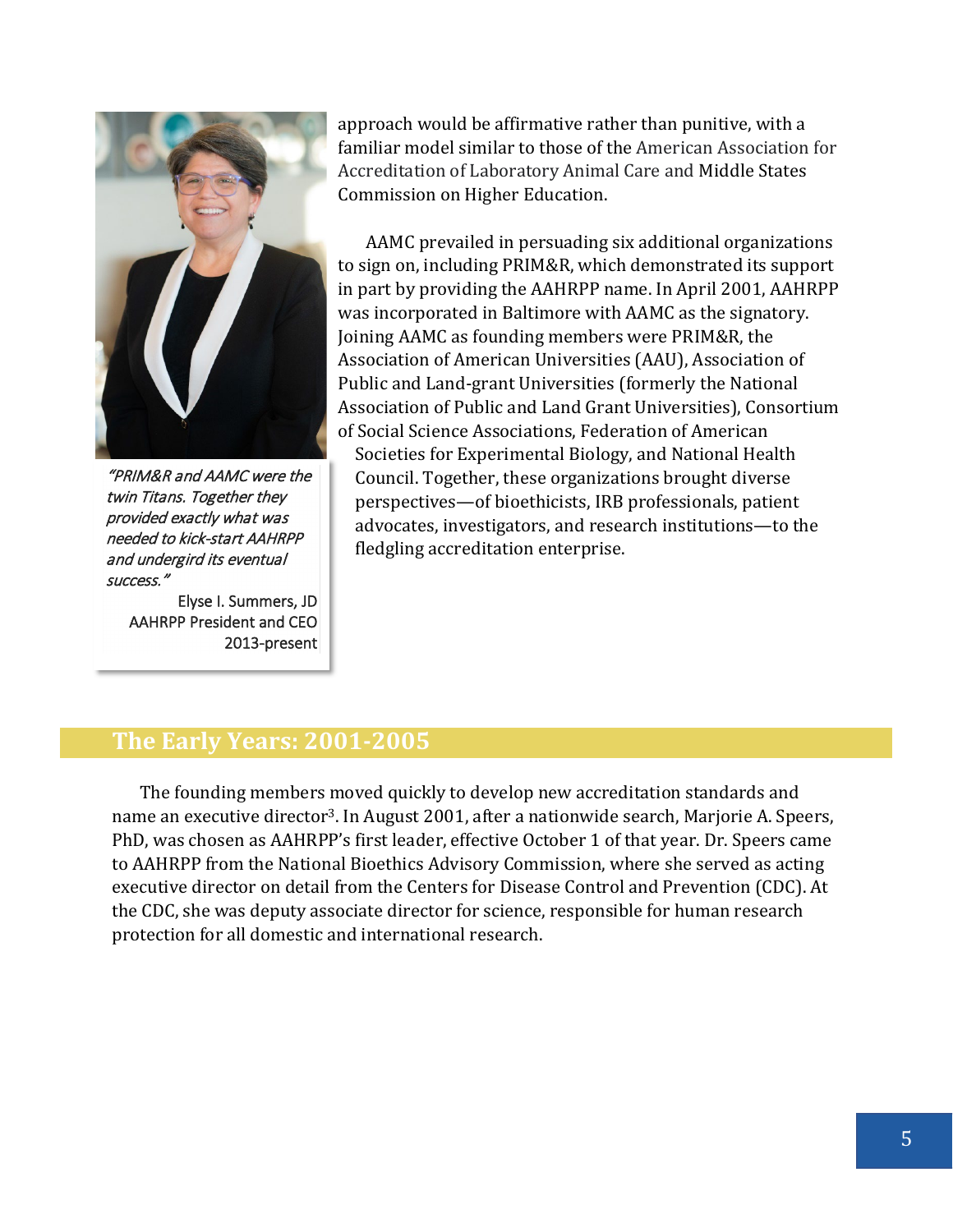

"PRIM&R and AAMC were the twin Titans. Together they provided exactly what was needed to kick-start AAHRPP and undergird its eventual success."

Elyse I. Summers, JD AAHRPP President and CEO 2013-present

approach would be affirmative rather than punitive, with a familiar model similar to those of the American Association for Accreditation of Laboratory Animal Care and Middle States Commission on Higher Education.

AAMC prevailed in persuading six additional organizations to sign on, including PRIM&R, which demonstrated its support in part by providing the AAHRPP name. In April 2001, AAHRPP was incorporated in Baltimore with AAMC as the signatory. Joining AAMC as founding members were PRIM&R, the [Association of American Universities](http://www.aau.edu/) (AAU), [Association of](http://www.aplu.org/)  [Public and Land-grant Universities](http://www.aplu.org/) (formerly the National Association of Public and Land Grant Universities), [Consortium](http://www.cossa.org/)  [of Social Science Associations,](http://www.cossa.org/) [Federation of American](http://www.faseb.org/) 

[Societies for Experimental Biology,](http://www.faseb.org/) and [National Health](http://www.nationalhealthcouncil.org/)  [Council.](http://www.nationalhealthcouncil.org/) Together, these organizations brought diverse perspectives—of bioethicists, IRB professionals, patient advocates, investigators, and research institutions—to the fledgling accreditation enterprise.

#### **The Early Years: 2001-2005**

The founding members moved quickly to develop new accreditation standards and name an executive director<sup>3</sup>. In August 2001, after a nationwide search, Marjorie A. Speers, PhD, was chosen as AAHRPP's first leader, effective October 1 of that year. Dr. Speers came to AAHRPP from the National Bioethics Advisory Commission, where she served as acting executive director on detail from the Centers for Disease Control and Prevention (CDC). At the CDC, she was deputy associate director for science, responsible for human research protection for all domestic and international research.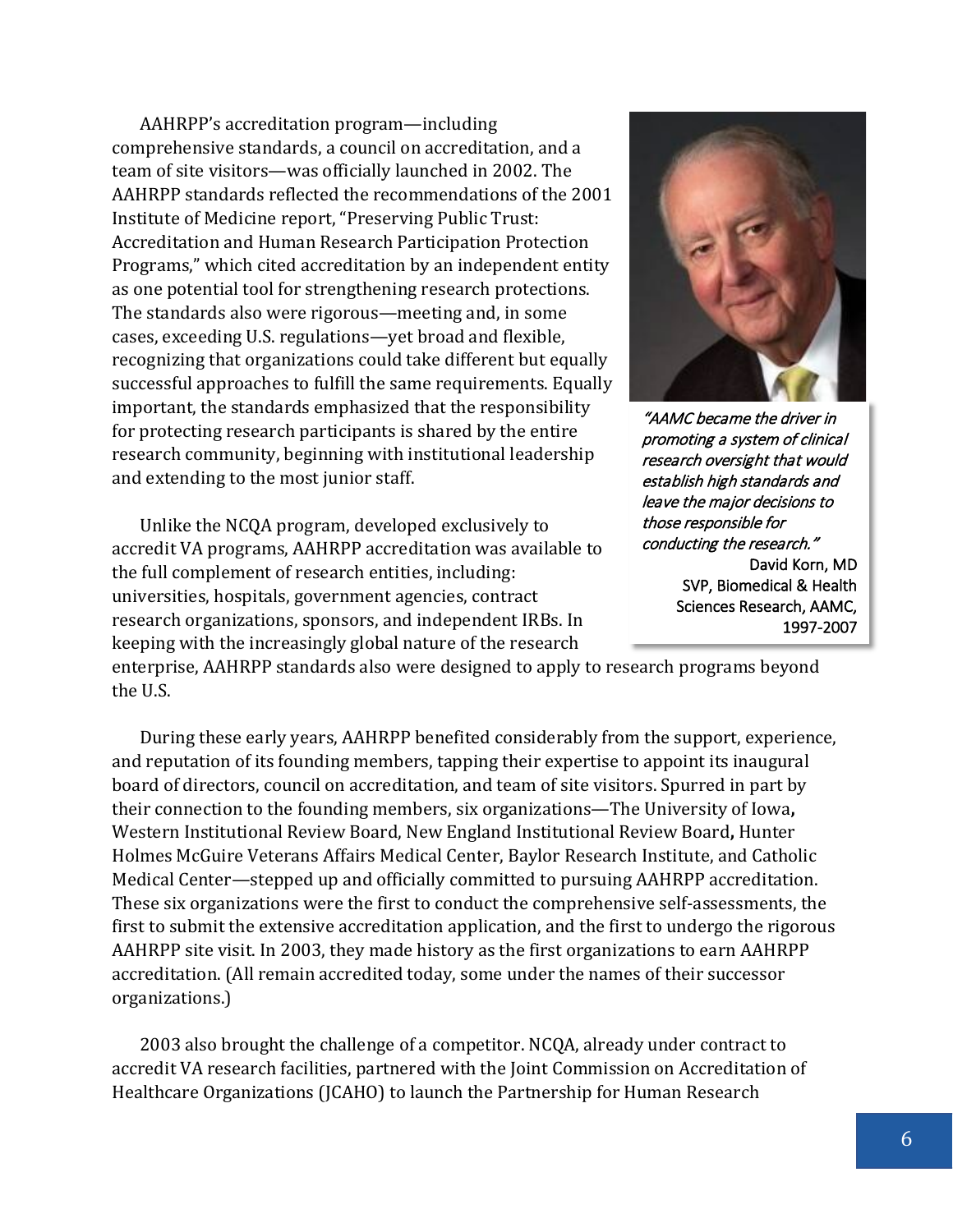AAHRPP's accreditation program—including comprehensive standards, a council on accreditation, and a team of site visitors—was officially launched in 2002. The AAHRPP standards reflected the recommendations of the 2001 Institute of Medicine report, "Preserving Public Trust: Accreditation and Human Research Participation Protection Programs," which cited accreditation by an independent entity as one potential tool for strengthening research protections. The standards also were rigorous—meeting and, in some cases, exceeding U.S. regulations—yet broad and flexible, recognizing that organizations could take different but equally successful approaches to fulfill the same requirements. Equally important, the standards emphasized that the responsibility for protecting research participants is shared by the entire research community, beginning with institutional leadership and extending to the most junior staff.

Unlike the NCQA program, developed exclusively to accredit VA programs, AAHRPP accreditation was available to the full complement of research entities, including: universities, hospitals, government agencies, contract research organizations, sponsors, and independent IRBs. In keeping with the increasingly global nature of the research



"AAMC became the driver in promoting a system of clinical research oversight that would establish high standards and leave the major decisions to those responsible for conducting the research." David Korn, MD SVP, Biomedical & Health Sciences Research, AAMC, 1997-2007

enterprise, AAHRPP standards also were designed to apply to research programs beyond the U.S.

During these early years, AAHRPP benefited considerably from the support, experience, and reputation of its founding members, tapping their expertise to appoint its inaugural board of directors, council on accreditation, and team of site visitors. Spurred in part by their connection to the founding members, six organizations—The University of Iowa**,** Western Institutional Review Board, New England Institutional Review Board**,** Hunter Holmes McGuire Veterans Affairs Medical Center, Baylor Research Institute, and Catholic Medical Center—stepped up and officially committed to pursuing AAHRPP accreditation. These six organizations were the first to conduct the comprehensive self-assessments, the first to submit the extensive accreditation application, and the first to undergo the rigorous AAHRPP site visit. In 2003, they made history as the first organizations to earn AAHRPP accreditation. (All remain accredited today, some under the names of their successor organizations.)

2003 also brought the challenge of a competitor. NCQA, already under contract to accredit VA research facilities, partnered with the Joint Commission on Accreditation of Healthcare Organizations (JCAHO) to launch the Partnership for Human Research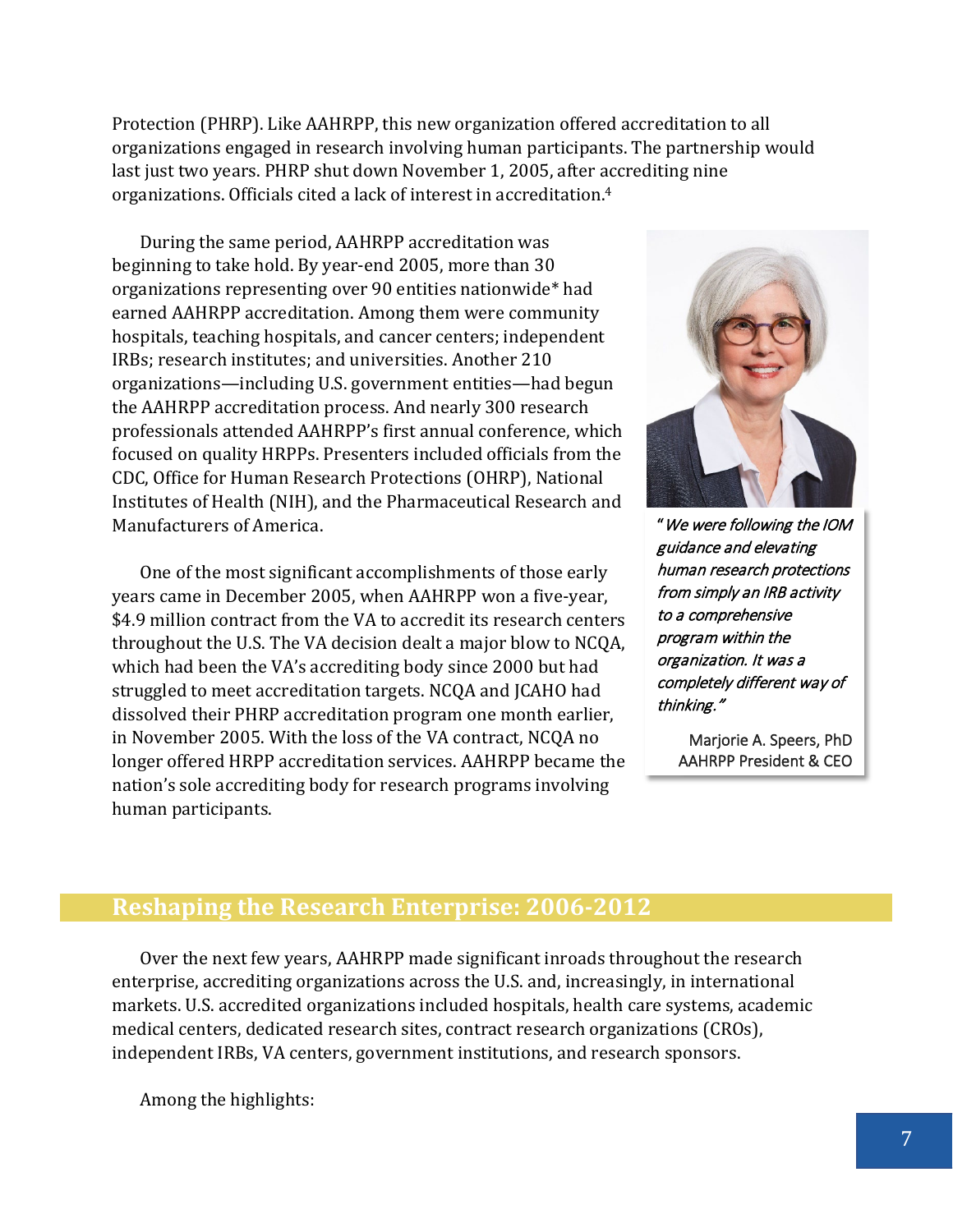Protection (PHRP). Like AAHRPP, this new organization offered accreditation to all organizations engaged in research involving human participants. The partnership would last just two years. PHRP shut down November 1, 2005, after accrediting nine organizations. Officials cited a lack of interest in accreditation.4

During the same period, AAHRPP accreditation was beginning to take hold. By year-end 2005, more than 30 organizations representing over 90 entities nationwide\* had earned AAHRPP accreditation. Among them were community hospitals, teaching hospitals, and cancer centers; independent IRBs; research institutes; and universities. Another 210 organizations—including U.S. government entities—had begun the AAHRPP accreditation process. And nearly 300 research professionals attended AAHRPP's first annual conference, which focused on quality HRPPs. Presenters included officials from the CDC, Office for Human Research Protections (OHRP), National Institutes of Health (NIH), and the Pharmaceutical Research and Manufacturers of America.

One of the most significant accomplishments of those early years came in December 2005, when AAHRPP won a five-year, \$4.9 million contract from the VA to accredit its research centers throughout the U.S. The VA decision dealt a major blow to NCQA, which had been the VA's accrediting body since 2000 but had struggled to meet accreditation targets. NCQA and JCAHO had dissolved their PHRP accreditation program one month earlier, in November 2005. With the loss of the VA contract, NCQA no longer offered HRPP accreditation services. AAHRPP became the nation's sole accrediting body for research programs involving human participants.



"We were following the IOM guidance and elevating human research protections from simply an IRB activity to a comprehensive program within the organization. It was a completely different way of thinking."

> Marjorie A. Speers, PhD AAHRPP President & CEO

#### **Reshaping the Research Enterprise: 2006-2012**

Over the next few years, AAHRPP made significant inroads throughout the research enterprise, accrediting organizations across the U.S. and, increasingly, in international markets. U.S. accredited organizations included hospitals, health care systems, academic medical centers, dedicated research sites, contract research organizations (CROs), independent IRBs, VA centers, government institutions, and research sponsors.

Among the highlights: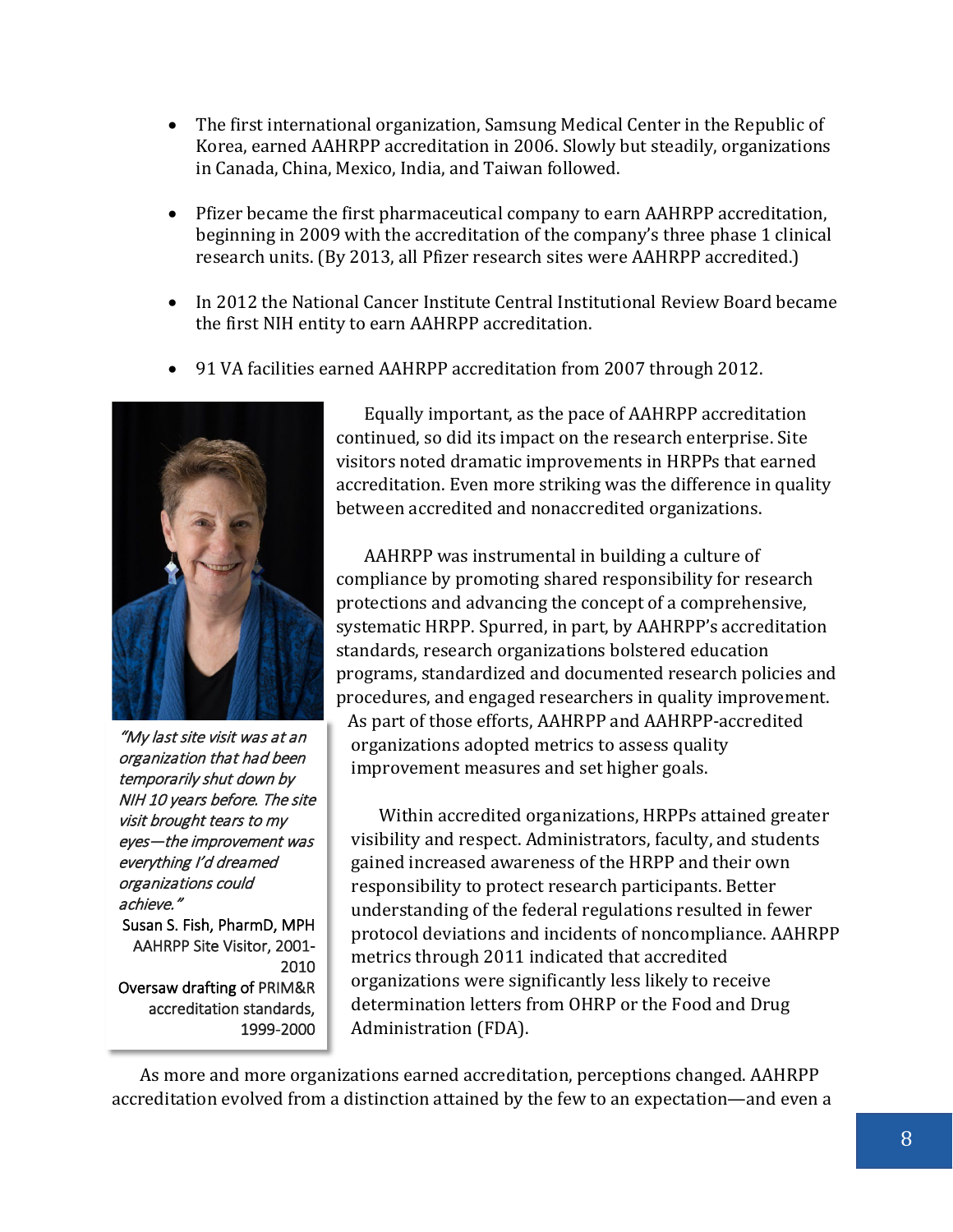- The first international organization, Samsung Medical Center in the Republic of Korea, earned AAHRPP accreditation in 2006. Slowly but steadily, organizations in Canada, China, Mexico, India, and Taiwan followed.
- Pfizer became the first pharmaceutical company to earn AAHRPP accreditation, beginning in 2009 with the accreditation of the company's three phase 1 clinical research units. (By 2013, all Pfizer research sites were AAHRPP accredited.)
- In 2012 the National Cancer Institute Central Institutional Review Board became the first NIH entity to earn AAHRPP accreditation.
- 91 VA facilities earned AAHRPP accreditation from 2007 through 2012.



"My last site visit was at an organization that had been temporarily shut down by NIH 10 years before. The site visit brought tears to my eyes—the improvement was everything I'd dreamed organizations could achieve." Susan S. Fish, PharmD, MPH AAHRPP Site Visitor, 2001- 2010 Oversaw drafting of PRIM&R accreditation standards, 1999-2000

Equally important, as the pace of AAHRPP accreditation continued, so did its impact on the research enterprise. Site visitors noted dramatic improvements in HRPPs that earned accreditation. Even more striking was the difference in quality between accredited and nonaccredited organizations.

AAHRPP was instrumental in building a culture of compliance by promoting shared responsibility for research protections and advancing the concept of a comprehensive, systematic HRPP. Spurred, in part, by AAHRPP's accreditation standards, research organizations bolstered education programs, standardized and documented research policies and procedures, and engaged researchers in quality improvement. As part of those efforts, AAHRPP and AAHRPP-accredited organizations adopted metrics to assess quality improvement measures and set higher goals.

Within accredited organizations, HRPPs attained greater visibility and respect. Administrators, faculty, and students gained increased awareness of the HRPP and their own responsibility to protect research participants. Better understanding of the federal regulations resulted in fewer protocol deviations and incidents of noncompliance. AAHRPP metrics through 2011 indicated that accredited organizations were significantly less likely to receive determination letters from OHRP or the Food and Drug Administration (FDA).

As more and more organizations earned accreditation, perceptions changed. AAHRPP accreditation evolved from a distinction attained by the few to an expectation—and even a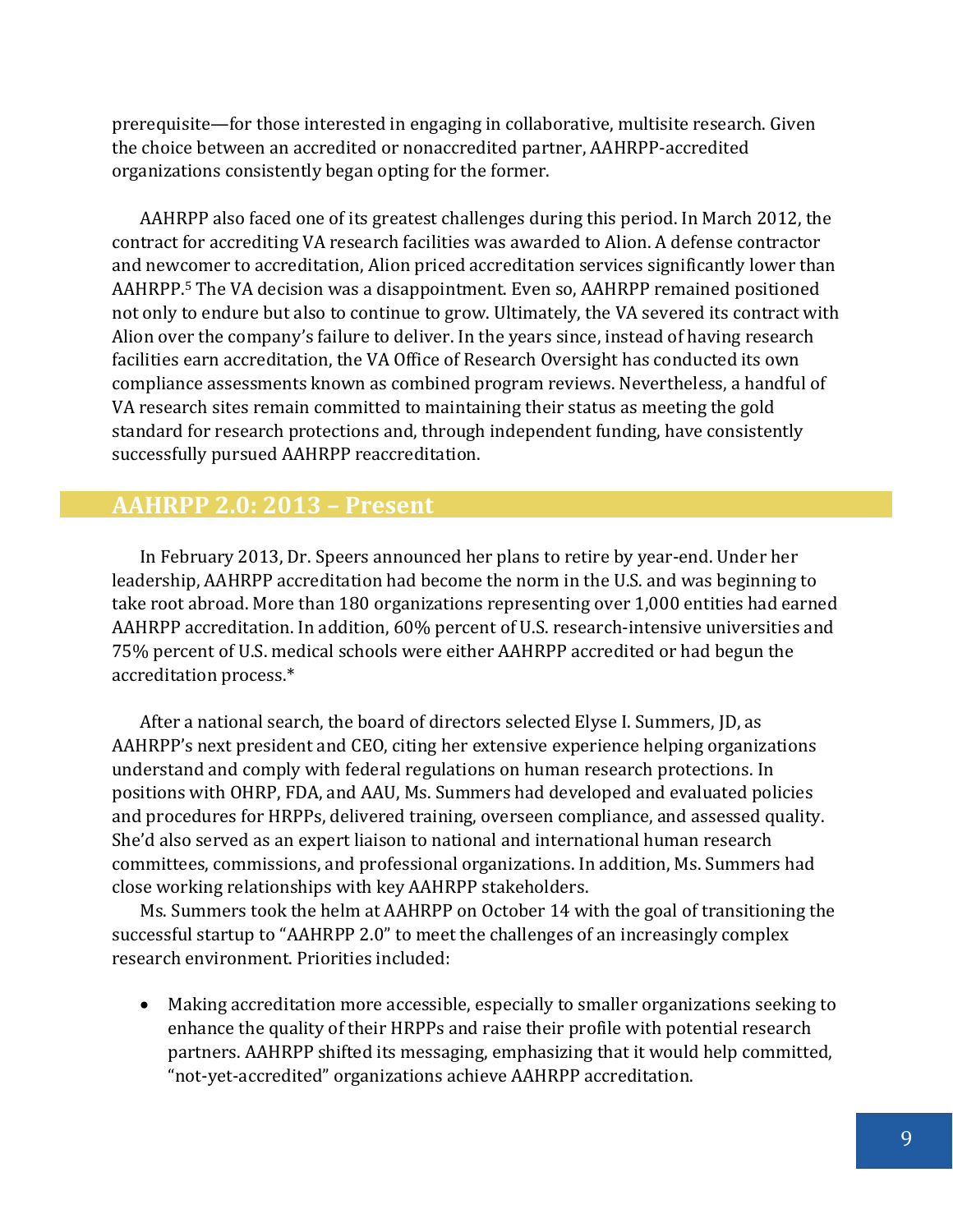prerequisite—for those interested in engaging in collaborative, multisite research. Given the choice between an accredited or nonaccredited partner, AAHRPP-accredited organizations consistently began opting for the former.

AAHRPP also faced one of its greatest challenges during this period. In March 2012, the contract for accrediting VA research facilities was awarded to Alion. A defense contractor and newcomer to accreditation, Alion priced accreditation services significantly lower than AAHRPP.5 The VA decision was a disappointment. Even so, AAHRPP remained positioned not only to endure but also to continue to grow. Ultimately, the VA severed its contract with Alion over the company's failure to deliver. In the years since, instead of having research facilities earn accreditation, the VA Office of Research Oversight has conducted its own compliance assessments known as combined program reviews. Nevertheless, a handful of VA research sites remain committed to maintaining their status as meeting the gold standard for research protections and, through independent funding, have consistently successfully pursued AAHRPP reaccreditation.

#### **AAHRPP 2.0: 2013 – Present**

In February 2013, Dr. Speers announced her plans to retire by year-end. Under her leadership, AAHRPP accreditation had become the norm in the U.S. and was beginning to take root abroad. More than 180 organizations representing over 1,000 entities had earned AAHRPP accreditation. In addition, 60% percent of U.S. research-intensive universities and 75% percent of U.S. medical schools were either AAHRPP accredited or had begun the accreditation process.\*

After a national search, the board of directors selected Elyse I. Summers, JD, as AAHRPP's next president and CEO, citing her extensive experience helping organizations understand and comply with federal regulations on human research protections. In positions with OHRP, FDA, and AAU, Ms. Summers had developed and evaluated policies and procedures for HRPPs, delivered training, overseen compliance, and assessed quality. She'd also served as an expert liaison to national and international human research committees, commissions, and professional organizations. In addition, Ms. Summers had close working relationships with key AAHRPP stakeholders.

Ms. Summers took the helm at AAHRPP on October 14 with the goal of transitioning the successful startup to "AAHRPP 2.0" to meet the challenges of an increasingly complex research environment. Priorities included:

• Making accreditation more accessible, especially to smaller organizations seeking to enhance the quality of their HRPPs and raise their profile with potential research partners. AAHRPP shifted its messaging, emphasizing that it would help committed, "not-yet-accredited" organizations achieve AAHRPP accreditation.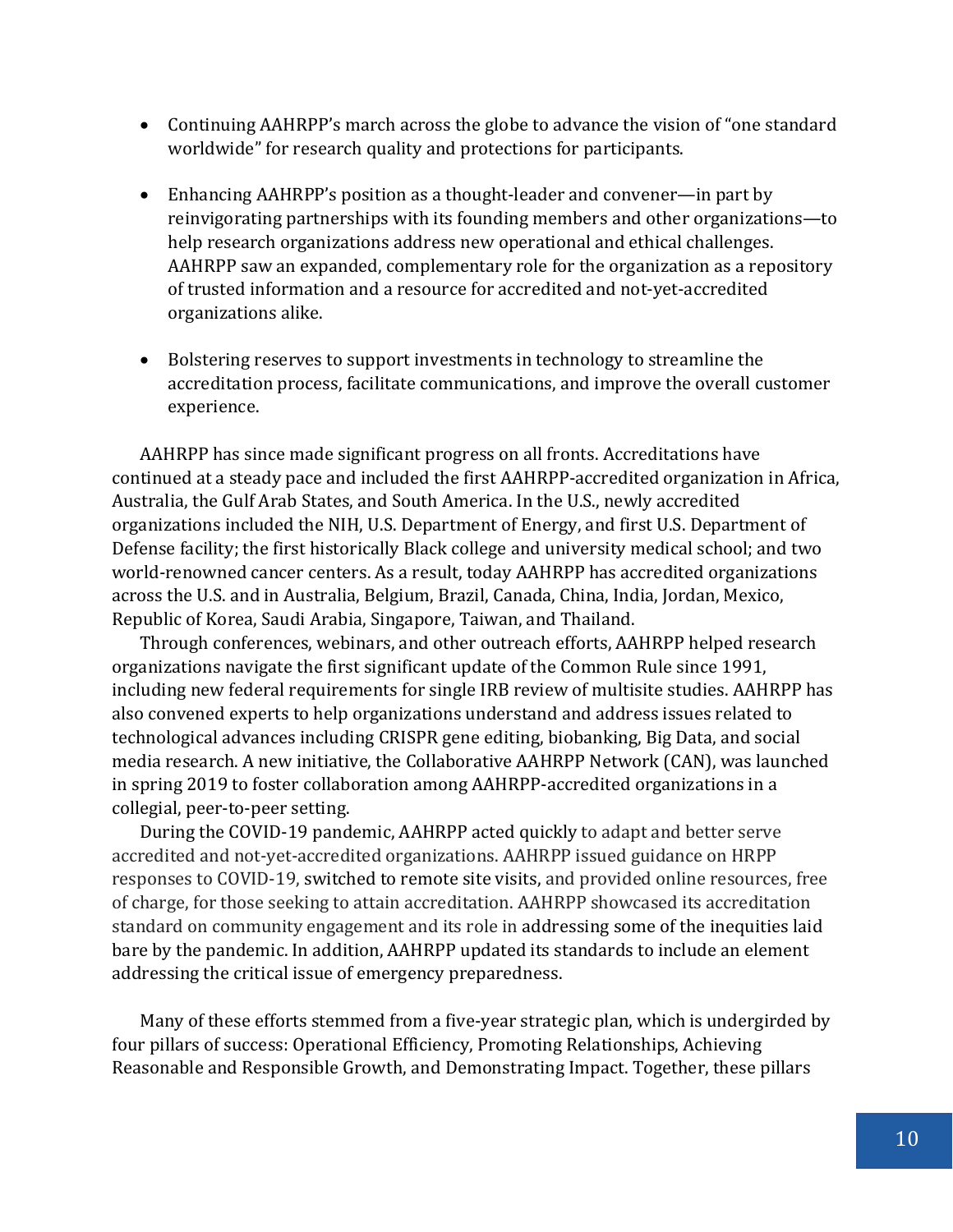- Continuing AAHRPP's march across the globe to advance the vision of "one standard worldwide" for research quality and protections for participants.
- Enhancing AAHRPP's position as a thought-leader and convener—in part by reinvigorating partnerships with its founding members and other organizations—to help research organizations address new operational and ethical challenges. AAHRPP saw an expanded, complementary role for the organization as a repository of trusted information and a resource for accredited and not-yet-accredited organizations alike.
- Bolstering reserves to support investments in technology to streamline the accreditation process, facilitate communications, and improve the overall customer experience.

AAHRPP has since made significant progress on all fronts. Accreditations have continued at a steady pace and included the first AAHRPP-accredited organization in Africa, Australia, the Gulf Arab States, and South America. In the U.S., newly accredited organizations included the NIH, U.S. Department of Energy, and first U.S. Department of Defense facility; the first historically Black college and university medical school; and two world-renowned cancer centers. As a result, today AAHRPP has accredited organizations across the U.S. and in Australia, Belgium, Brazil, Canada, China, India, Jordan, Mexico, Republic of Korea, Saudi Arabia, Singapore, Taiwan, and Thailand.

Through conferences, webinars, and other outreach efforts, AAHRPP helped research organizations navigate the first significant update of the Common Rule since 1991, including new federal requirements for single IRB review of multisite studies. AAHRPP has also convened experts to help organizations understand and address issues related to technological advances including CRISPR gene editing, biobanking, Big Data, and social media research. A new initiative, the Collaborative AAHRPP Network (CAN), was launched in spring 2019 to foster collaboration among AAHRPP-accredited organizations in a collegial, peer-to-peer setting.

During the COVID-19 pandemic, AAHRPP acted quickly to adapt and better serve accredited and not-yet-accredited organizations. AAHRPP issued guidance on HRPP responses to COVID-19, switched to remote site visits, and provided online resources, free of charge, for those seeking to attain accreditation. AAHRPP showcased its accreditation standard on community engagement and its role in addressing some of the inequities laid bare by the pandemic. In addition, AAHRPP updated its standards to include an element addressing the critical issue of emergency preparedness.

Many of these efforts stemmed from a five-year strategic plan, which is undergirded by four pillars of success: Operational Efficiency, Promoting Relationships, Achieving Reasonable and Responsible Growth, and Demonstrating Impact. Together, these pillars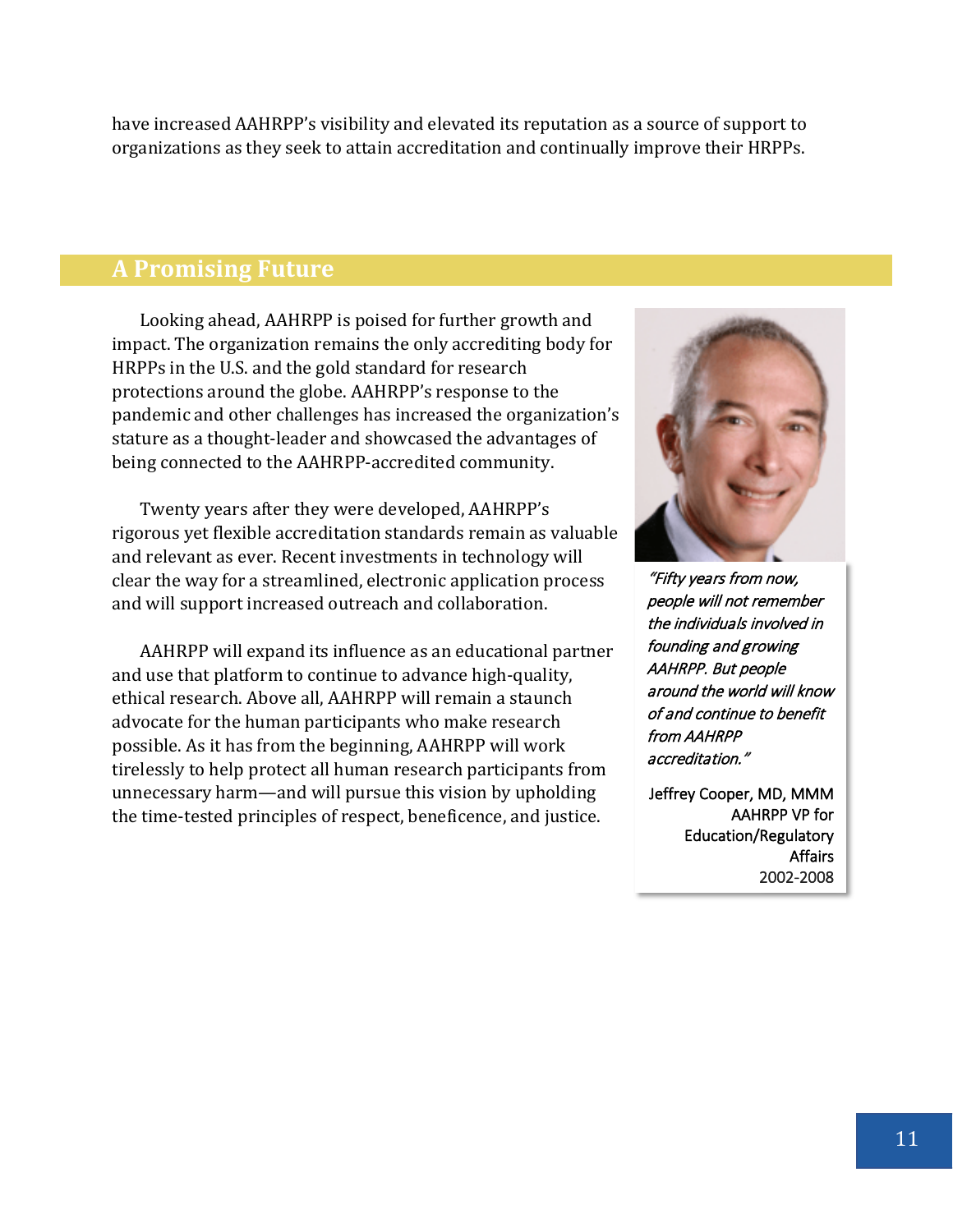have increased AAHRPP's visibility and elevated its reputation as a source of support to organizations as they seek to attain accreditation and continually improve their HRPPs.

#### **A Promising Future**

Looking ahead, AAHRPP is poised for further growth and impact. The organization remains the only accrediting body for HRPPs in the U.S. and the gold standard for research protections around the globe. AAHRPP's response to the pandemic and other challenges has increased the organization's stature as a thought-leader and showcased the advantages of being connected to the AAHRPP-accredited community.

Twenty years after they were developed, AAHRPP's rigorous yet flexible accreditation standards remain as valuable and relevant as ever. Recent investments in technology will clear the way for a streamlined, electronic application process and will support increased outreach and collaboration.

AAHRPP will expand its influence as an educational partner and use that platform to continue to advance high-quality, ethical research. Above all, AAHRPP will remain a staunch advocate for the human participants who make research possible. As it has from the beginning, AAHRPP will work tirelessly to help protect all human research participants from unnecessary harm—and will pursue this vision by upholding the time-tested principles of respect, beneficence, and justice.



"Fifty years from now, people will not remember the individuals involved in founding and growing AAHRPP. But people around the world will know of and continue to benefit from AAHRPP accreditation."

Jeffrey Cooper, MD, MMM AAHRPP VP for Education/Regulatory Affairs 2002-2008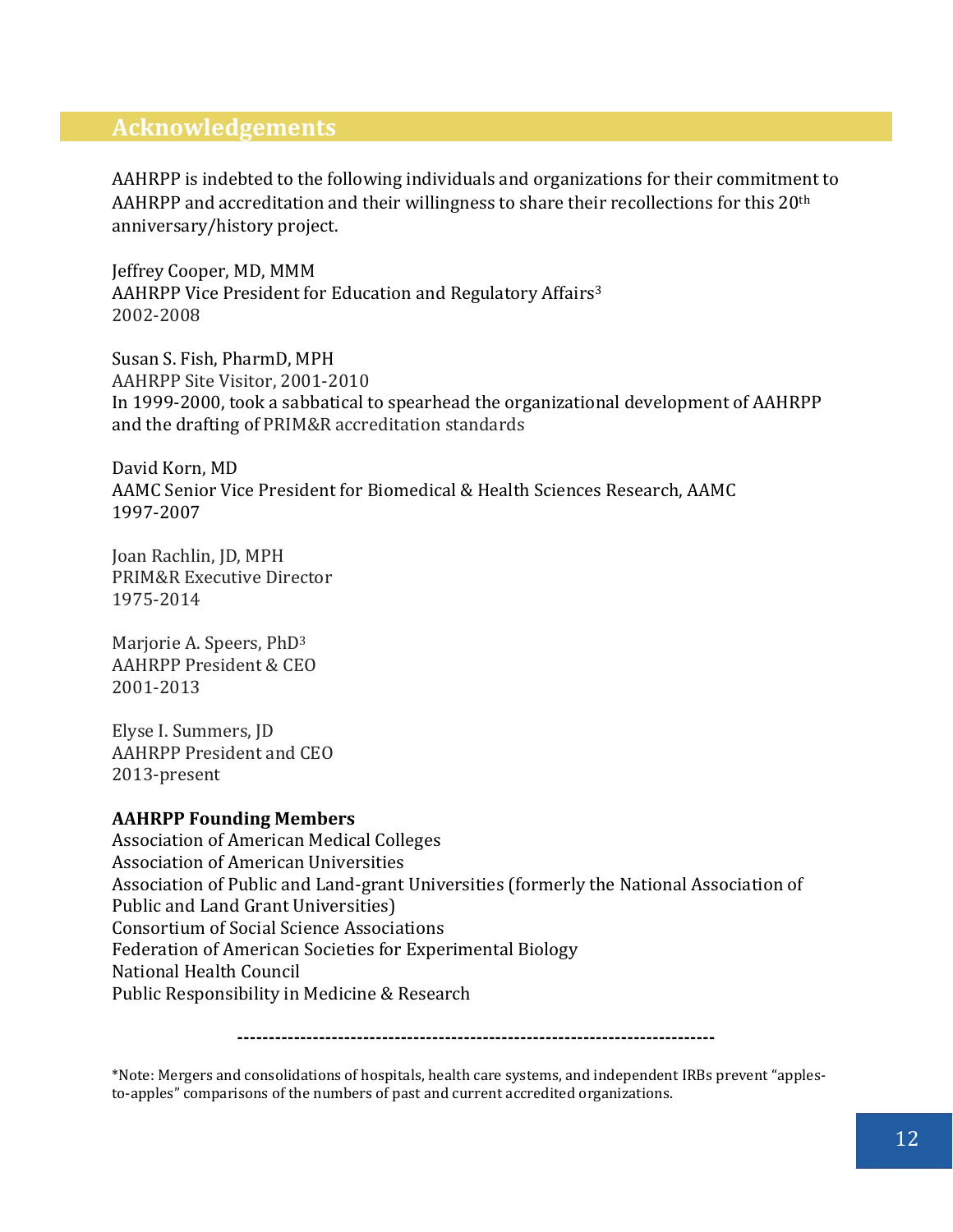#### **Acknowledgements**

AAHRPP is indebted to the following individuals and organizations for their commitment to AAHRPP and accreditation and their willingness to share their recollections for this  $20<sup>th</sup>$ anniversary/history project.

Jeffrey Cooper, MD, MMM AAHRPP Vice President for Education and Regulatory Affairs<sup>3</sup> 2002-2008

Susan S. Fish, PharmD, MPH AAHRPP Site Visitor, 2001-2010 In 1999-2000, took a sabbatical to spearhead the organizational development of AAHRPP and the drafting of PRIM&R accreditation standards

David Korn, MD AAMC Senior Vice President for Biomedical & Health Sciences Research, AAMC 1997-2007

Joan Rachlin, JD, MPH PRIM&R Executive Director 1975-2014

Marjorie A. Speers, PhD3 AAHRPP President & CEO 2001-2013

Elyse I. Summers, JD AAHRPP President and CEO 2013-present

#### **AAHRPP Founding Members**

Association of American Medical Colleges [Association of American Universities](http://www.aau.edu/) [Association of Public and Land-grant Universities](http://www.aplu.org/) (formerly the National Association of Public and Land Grant Universities) [Consortium of Social Science Associations](http://www.cossa.org/) [Federation of American Societies for Experimental Biology](http://www.faseb.org/) [National Health Council](http://www.nationalhealthcouncil.org/) Public Responsibility in Medicine & Research

**----------------------------------------------------------------------------**

\*Note: Mergers and consolidations of hospitals, health care systems, and independent IRBs prevent "applesto-apples" comparisons of the numbers of past and current accredited organizations.